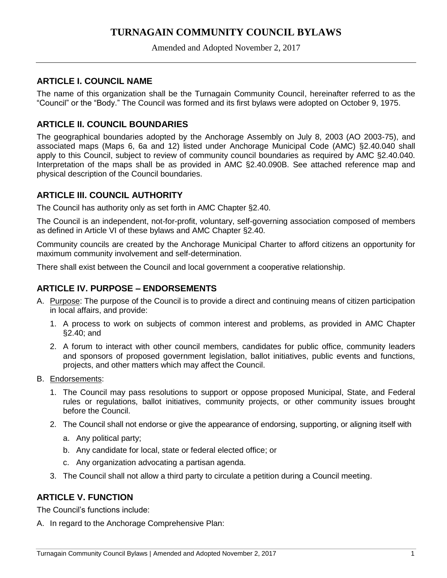# **TURNAGAIN COMMUNITY COUNCIL BYLAWS**

Amended and Adopted November 2, 2017

# **ARTICLE I. COUNCIL NAME**

The name of this organization shall be the Turnagain Community Council, hereinafter referred to as the "Council" or the "Body." The Council was formed and its first bylaws were adopted on October 9, 1975.

# **ARTICLE II. COUNCIL BOUNDARIES**

The geographical boundaries adopted by the Anchorage Assembly on July 8, 2003 (AO 2003-75), and associated maps (Maps 6, 6a and 12) listed under Anchorage Municipal Code (AMC) §2.40.040 shall apply to this Council, subject to review of community council boundaries as required by AMC §2.40.040. Interpretation of the maps shall be as provided in AMC §2.40.090B. See attached reference map and physical description of the Council boundaries.

## **ARTICLE III. COUNCIL AUTHORITY**

The Council has authority only as set forth in AMC Chapter §2.40.

The Council is an independent, not-for-profit, voluntary, self-governing association composed of members as defined in Article VI of these bylaws and AMC Chapter §2.40.

Community councils are created by the Anchorage Municipal Charter to afford citizens an opportunity for maximum community involvement and self-determination.

There shall exist between the Council and local government a cooperative relationship.

# **ARTICLE IV. PURPOSE – ENDORSEMENTS**

- A. Purpose: The purpose of the Council is to provide a direct and continuing means of citizen participation in local affairs, and provide:
	- 1. A process to work on subjects of common interest and problems, as provided in AMC Chapter §2.40; and
	- 2. A forum to interact with other council members, candidates for public office, community leaders and sponsors of proposed government legislation, ballot initiatives, public events and functions, projects, and other matters which may affect the Council.
- B. Endorsements:
	- 1. The Council may pass resolutions to support or oppose proposed Municipal, State, and Federal rules or regulations, ballot initiatives, community projects, or other community issues brought before the Council.
	- 2. The Council shall not endorse or give the appearance of endorsing, supporting, or aligning itself with
		- a. Any political party;
		- b. Any candidate for local, state or federal elected office; or
		- c. Any organization advocating a partisan agenda.
	- 3. The Council shall not allow a third party to circulate a petition during a Council meeting.

## **ARTICLE V. FUNCTION**

The Council's functions include:

A. In regard to the Anchorage Comprehensive Plan: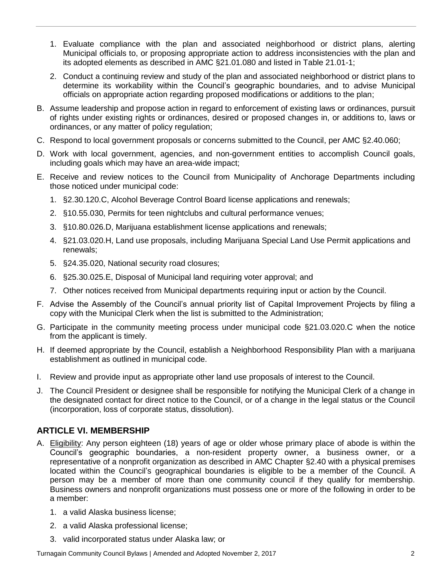- 1. Evaluate compliance with the plan and associated neighborhood or district plans, alerting Municipal officials to, or proposing appropriate action to address inconsistencies with the plan and its adopted elements as described in AMC §21.01.080 and listed in Table 21.01-1;
- 2. Conduct a continuing review and study of the plan and associated neighborhood or district plans to determine its workability within the Council's geographic boundaries, and to advise Municipal officials on appropriate action regarding proposed modifications or additions to the plan;
- B. Assume leadership and propose action in regard to enforcement of existing laws or ordinances, pursuit of rights under existing rights or ordinances, desired or proposed changes in, or additions to, laws or ordinances, or any matter of policy regulation;
- C. Respond to local government proposals or concerns submitted to the Council, per AMC §2.40.060;
- D. Work with local government, agencies, and non-government entities to accomplish Council goals, including goals which may have an area-wide impact;
- E. Receive and review notices to the Council from Municipality of Anchorage Departments including those noticed under municipal code:
	- 1. §2.30.120.C, Alcohol Beverage Control Board license applications and renewals;
	- 2. §10.55.030, Permits for teen nightclubs and cultural performance venues;
	- 3. §10.80.026.D, Marijuana establishment license applications and renewals;
	- 4. §21.03.020.H, Land use proposals, including Marijuana Special Land Use Permit applications and renewals;
	- 5. §24.35.020, National security road closures;
	- 6. §25.30.025.E, Disposal of Municipal land requiring voter approval; and
	- 7. Other notices received from Municipal departments requiring input or action by the Council.
- F. Advise the Assembly of the Council's annual priority list of Capital Improvement Projects by filing a copy with the Municipal Clerk when the list is submitted to the Administration;
- G. Participate in the community meeting process under municipal code §21.03.020.C when the notice from the applicant is timely.
- H. If deemed appropriate by the Council, establish a Neighborhood Responsibility Plan with a marijuana establishment as outlined in municipal code.
- I. Review and provide input as appropriate other land use proposals of interest to the Council.
- J. The Council President or designee shall be responsible for notifying the Municipal Clerk of a change in the designated contact for direct notice to the Council, or of a change in the legal status or the Council (incorporation, loss of corporate status, dissolution).

## **ARTICLE VI. MEMBERSHIP**

- A. Eligibility: Any person eighteen (18) years of age or older whose primary place of abode is within the Council's geographic boundaries, a non-resident property owner, a business owner, or a representative of a nonprofit organization as described in AMC Chapter §2.40 with a physical premises located within the Council's geographical boundaries is eligible to be a member of the Council. A person may be a member of more than one community council if they qualify for membership. Business owners and nonprofit organizations must possess one or more of the following in order to be a member:
	- 1. a valid Alaska business license;
	- 2. a valid Alaska professional license;
	- 3. valid incorporated status under Alaska law; or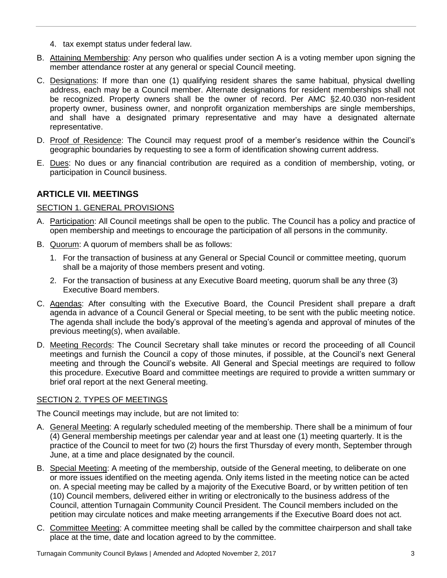- 4. tax exempt status under federal law.
- B. Attaining Membership: Any person who qualifies under section A is a voting member upon signing the member attendance roster at any general or special Council meeting.
- C. Designations: If more than one (1) qualifying resident shares the same habitual, physical dwelling address, each may be a Council member. Alternate designations for resident memberships shall not be recognized. Property owners shall be the owner of record. Per AMC §2.40.030 non-resident property owner, business owner, and nonprofit organization memberships are single memberships, and shall have a designated primary representative and may have a designated alternate representative.
- D. Proof of Residence: The Council may request proof of a member's residence within the Council's geographic boundaries by requesting to see a form of identification showing current address.
- E. Dues: No dues or any financial contribution are required as a condition of membership, voting, or participation in Council business.

## **ARTICLE VII. MEETINGS**

### SECTION 1. GENERAL PROVISIONS

- A. Participation: All Council meetings shall be open to the public. The Council has a policy and practice of open membership and meetings to encourage the participation of all persons in the community.
- B. Quorum: A quorum of members shall be as follows:
	- 1. For the transaction of business at any General or Special Council or committee meeting, quorum shall be a majority of those members present and voting.
	- 2. For the transaction of business at any Executive Board meeting, quorum shall be any three (3) Executive Board members.
- C. Agendas: After consulting with the Executive Board, the Council President shall prepare a draft agenda in advance of a Council General or Special meeting, to be sent with the public meeting notice. The agenda shall include the body's approval of the meeting's agenda and approval of minutes of the previous meeting(s), when available.
- D. Meeting Records: The Council Secretary shall take minutes or record the proceeding of all Council meetings and furnish the Council a copy of those minutes, if possible, at the Council's next General meeting and through the Council's website. All General and Special meetings are required to follow this procedure. Executive Board and committee meetings are required to provide a written summary or brief oral report at the next General meeting.

### SECTION 2. TYPES OF MEETINGS

The Council meetings may include, but are not limited to:

- A. General Meeting: A regularly scheduled meeting of the membership. There shall be a minimum of four (4) General membership meetings per calendar year and at least one (1) meeting quarterly. It is the practice of the Council to meet for two (2) hours the first Thursday of every month, September through June, at a time and place designated by the council.
- B. Special Meeting: A meeting of the membership, outside of the General meeting, to deliberate on one or more issues identified on the meeting agenda. Only items listed in the meeting notice can be acted on. A special meeting may be called by a majority of the Executive Board, or by written petition of ten (10) Council members, delivered either in writing or electronically to the business address of the Council, attention Turnagain Community Council President. The Council members included on the petition may circulate notices and make meeting arrangements if the Executive Board does not act.
- C. Committee Meeting: A committee meeting shall be called by the committee chairperson and shall take place at the time, date and location agreed to by the committee.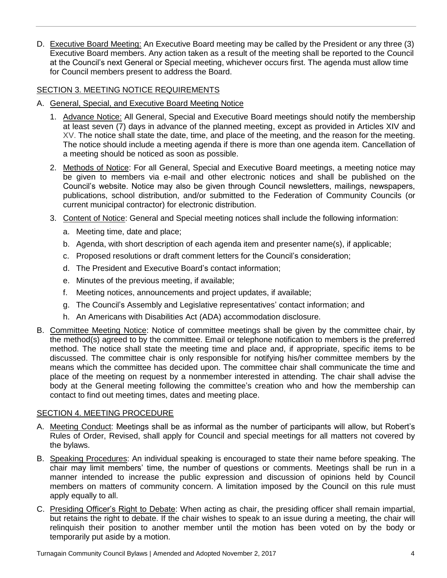D. Executive Board Meeting: An Executive Board meeting may be called by the President or any three (3) Executive Board members. Any action taken as a result of the meeting shall be reported to the Council at the Council's next General or Special meeting, whichever occurs first. The agenda must allow time for Council members present to address the Board.

## SECTION 3. MEETING NOTICE REQUIREMENTS

- A. General, Special, and Executive Board Meeting Notice
	- 1. Advance Notice: All General, Special and Executive Board meetings should notify the membership at least seven (7) days in advance of the planned meeting, except as provided in Articles XIV and XV. The notice shall state the date, time, and place of the meeting, and the reason for the meeting. The notice should include a meeting agenda if there is more than one agenda item. Cancellation of a meeting should be noticed as soon as possible.
	- 2. Methods of Notice: For all General, Special and Executive Board meetings, a meeting notice may be given to members via e-mail and other electronic notices and shall be published on the Council's website. Notice may also be given through Council newsletters, mailings, newspapers, publications, school distribution, and/or submitted to the Federation of Community Councils (or current municipal contractor) for electronic distribution.
	- 3. Content of Notice: General and Special meeting notices shall include the following information:
		- a. Meeting time, date and place;
		- b. Agenda, with short description of each agenda item and presenter name(s), if applicable;
		- c. Proposed resolutions or draft comment letters for the Council's consideration;
		- d. The President and Executive Board's contact information;
		- e. Minutes of the previous meeting, if available;
		- f. Meeting notices, announcements and project updates, if available;
		- g. The Council's Assembly and Legislative representatives' contact information; and
		- h. An Americans with Disabilities Act (ADA) accommodation disclosure.
- B. Committee Meeting Notice: Notice of committee meetings shall be given by the committee chair, by the method(s) agreed to by the committee. Email or telephone notification to members is the preferred method. The notice shall state the meeting time and place and, if appropriate, specific items to be discussed. The committee chair is only responsible for notifying his/her committee members by the means which the committee has decided upon. The committee chair shall communicate the time and place of the meeting on request by a nonmember interested in attending. The chair shall advise the body at the General meeting following the committee's creation who and how the membership can contact to find out meeting times, dates and meeting place.

### SECTION 4. MEETING PROCEDURE

- A. Meeting Conduct: Meetings shall be as informal as the number of participants will allow, but Robert's Rules of Order, Revised, shall apply for Council and special meetings for all matters not covered by the bylaws.
- B. Speaking Procedures: An individual speaking is encouraged to state their name before speaking. The chair may limit members' time, the number of questions or comments. Meetings shall be run in a manner intended to increase the public expression and discussion of opinions held by Council members on matters of community concern. A limitation imposed by the Council on this rule must apply equally to all.
- C. Presiding Officer's Right to Debate: When acting as chair, the presiding officer shall remain impartial, but retains the right to debate. If the chair wishes to speak to an issue during a meeting, the chair will relinquish their position to another member until the motion has been voted on by the body or temporarily put aside by a motion.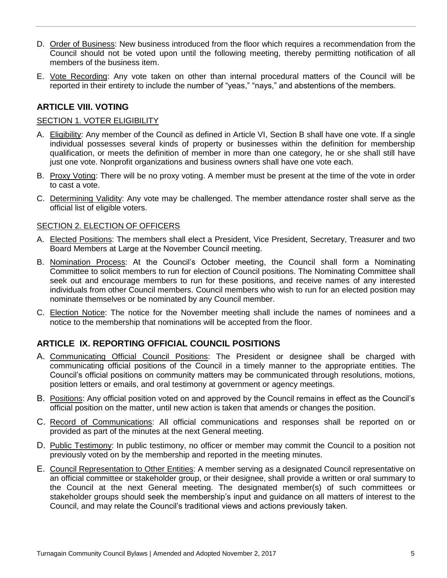- D. Order of Business: New business introduced from the floor which requires a recommendation from the Council should not be voted upon until the following meeting, thereby permitting notification of all members of the business item.
- E. Vote Recording: Any vote taken on other than internal procedural matters of the Council will be reported in their entirety to include the number of "yeas," "nays," and abstentions of the members.

### **ARTICLE VIII. VOTING**

#### SECTION 1. VOTER ELIGIBILITY

- A. Eligibility: Any member of the Council as defined in Article VI, Section B shall have one vote. If a single individual possesses several kinds of property or businesses within the definition for membership qualification, or meets the definition of member in more than one category, he or she shall still have just one vote. Nonprofit organizations and business owners shall have one vote each.
- B. Proxy Voting: There will be no proxy voting. A member must be present at the time of the vote in order to cast a vote.
- C. Determining Validity: Any vote may be challenged. The member attendance roster shall serve as the official list of eligible voters.

#### SECTION 2. ELECTION OF OFFICERS

- A. Elected Positions: The members shall elect a President, Vice President, Secretary, Treasurer and two Board Members at Large at the November Council meeting.
- B. Nomination Process: At the Council's October meeting, the Council shall form a Nominating Committee to solicit members to run for election of Council positions. The Nominating Committee shall seek out and encourage members to run for these positions, and receive names of any interested individuals from other Council members. Council members who wish to run for an elected position may nominate themselves or be nominated by any Council member.
- C. Election Notice: The notice for the November meeting shall include the names of nominees and a notice to the membership that nominations will be accepted from the floor.

## **ARTICLE IX. REPORTING OFFICIAL COUNCIL POSITIONS**

- A. Communicating Official Council Positions: The President or designee shall be charged with communicating official positions of the Council in a timely manner to the appropriate entities. The Council's official positions on community matters may be communicated through resolutions, motions, position letters or emails, and oral testimony at government or agency meetings.
- B. Positions: Any official position voted on and approved by the Council remains in effect as the Council's official position on the matter, until new action is taken that amends or changes the position.
- C. Record of Communications: All official communications and responses shall be reported on or provided as part of the minutes at the next General meeting.
- D. Public Testimony: In public testimony, no officer or member may commit the Council to a position not previously voted on by the membership and reported in the meeting minutes.
- E. Council Representation to Other Entities: A member serving as a designated Council representative on an official committee or stakeholder group, or their designee, shall provide a written or oral summary to the Council at the next General meeting. The designated member(s) of such committees or stakeholder groups should seek the membership's input and guidance on all matters of interest to the Council, and may relate the Council's traditional views and actions previously taken.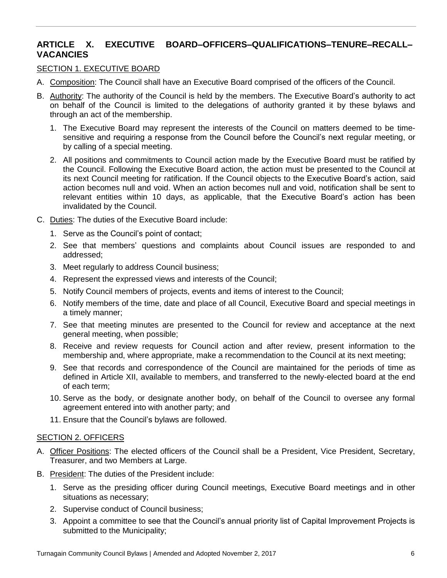# **ARTICLE X. EXECUTIVE BOARD–OFFICERS–QUALIFICATIONS–TENURE–RECALL– VACANCIES**

### SECTION 1. EXECUTIVE BOARD

- A. Composition: The Council shall have an Executive Board comprised of the officers of the Council.
- B. Authority: The authority of the Council is held by the members. The Executive Board's authority to act on behalf of the Council is limited to the delegations of authority granted it by these bylaws and through an act of the membership.
	- 1. The Executive Board may represent the interests of the Council on matters deemed to be timesensitive and requiring a response from the Council before the Council's next regular meeting, or by calling of a special meeting.
	- 2. All positions and commitments to Council action made by the Executive Board must be ratified by the Council. Following the Executive Board action, the action must be presented to the Council at its next Council meeting for ratification. If the Council objects to the Executive Board's action, said action becomes null and void. When an action becomes null and void, notification shall be sent to relevant entities within 10 days, as applicable, that the Executive Board's action has been invalidated by the Council.
- C. Duties: The duties of the Executive Board include:
	- 1. Serve as the Council's point of contact;
	- 2. See that members' questions and complaints about Council issues are responded to and addressed;
	- 3. Meet regularly to address Council business;
	- 4. Represent the expressed views and interests of the Council;
	- 5. Notify Council members of projects, events and items of interest to the Council;
	- 6. Notify members of the time, date and place of all Council, Executive Board and special meetings in a timely manner;
	- 7. See that meeting minutes are presented to the Council for review and acceptance at the next general meeting, when possible;
	- 8. Receive and review requests for Council action and after review, present information to the membership and, where appropriate, make a recommendation to the Council at its next meeting;
	- 9. See that records and correspondence of the Council are maintained for the periods of time as defined in Article XII, available to members, and transferred to the newly-elected board at the end of each term;
	- 10. Serve as the body, or designate another body, on behalf of the Council to oversee any formal agreement entered into with another party; and
	- 11. Ensure that the Council's bylaws are followed.

#### SECTION 2. OFFICERS

- A. Officer Positions: The elected officers of the Council shall be a President, Vice President, Secretary, Treasurer, and two Members at Large.
- B. President: The duties of the President include:
	- 1. Serve as the presiding officer during Council meetings, Executive Board meetings and in other situations as necessary;
	- 2. Supervise conduct of Council business;
	- 3. Appoint a committee to see that the Council's annual priority list of Capital Improvement Projects is submitted to the Municipality;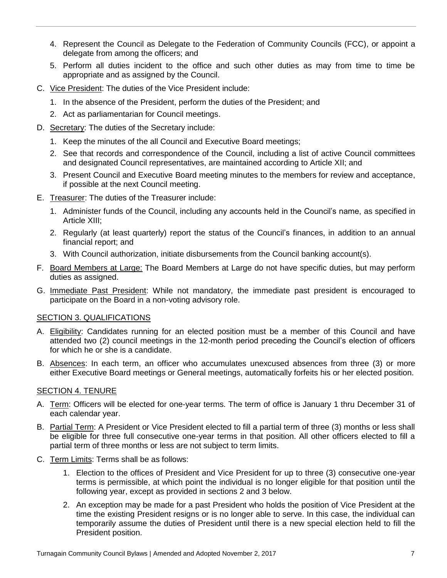- 4. Represent the Council as Delegate to the Federation of Community Councils (FCC), or appoint a delegate from among the officers; and
- 5. Perform all duties incident to the office and such other duties as may from time to time be appropriate and as assigned by the Council.
- C. Vice President: The duties of the Vice President include:
	- 1. In the absence of the President, perform the duties of the President; and
	- 2. Act as parliamentarian for Council meetings.
- D. Secretary: The duties of the Secretary include:
	- 1. Keep the minutes of the all Council and Executive Board meetings;
	- 2. See that records and correspondence of the Council, including a list of active Council committees and designated Council representatives, are maintained according to Article XII; and
	- 3. Present Council and Executive Board meeting minutes to the members for review and acceptance, if possible at the next Council meeting.
- E. Treasurer: The duties of the Treasurer include:
	- 1. Administer funds of the Council, including any accounts held in the Council's name, as specified in Article XIII;
	- 2. Regularly (at least quarterly) report the status of the Council's finances, in addition to an annual financial report; and
	- 3. With Council authorization, initiate disbursements from the Council banking account(s).
- F. Board Members at Large: The Board Members at Large do not have specific duties, but may perform duties as assigned.
- G. Immediate Past President: While not mandatory, the immediate past president is encouraged to participate on the Board in a non-voting advisory role.

### SECTION 3. QUALIFICATIONS

- A. Eligibility: Candidates running for an elected position must be a member of this Council and have attended two (2) council meetings in the 12-month period preceding the Council's election of officers for which he or she is a candidate.
- B. Absences: In each term, an officer who accumulates unexcused absences from three (3) or more either Executive Board meetings or General meetings, automatically forfeits his or her elected position.

### SECTION 4. TENURE

- A. Term: Officers will be elected for one-year terms. The term of office is January 1 thru December 31 of each calendar year.
- B. Partial Term: A President or Vice President elected to fill a partial term of three (3) months or less shall be eligible for three full consecutive one-year terms in that position. All other officers elected to fill a partial term of three months or less are not subject to term limits.
- C. Term Limits: Terms shall be as follows:
	- 1. Election to the offices of President and Vice President for up to three (3) consecutive one-year terms is permissible, at which point the individual is no longer eligible for that position until the following year, except as provided in sections 2 and 3 below.
	- 2. An exception may be made for a past President who holds the position of Vice President at the time the existing President resigns or is no longer able to serve. In this case, the individual can temporarily assume the duties of President until there is a new special election held to fill the President position.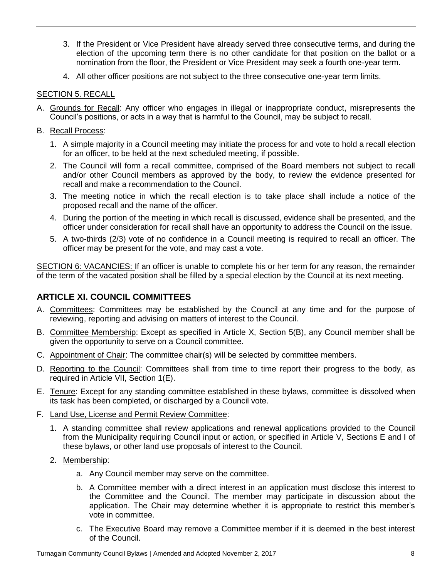- 3. If the President or Vice President have already served three consecutive terms, and during the election of the upcoming term there is no other candidate for that position on the ballot or a nomination from the floor, the President or Vice President may seek a fourth one-year term.
- 4. All other officer positions are not subject to the three consecutive one-year term limits.

### SECTION 5. RECALL

- A. Grounds for Recall: Any officer who engages in illegal or inappropriate conduct, misrepresents the Council's positions, or acts in a way that is harmful to the Council, may be subject to recall.
- B. Recall Process:
	- 1. A simple majority in a Council meeting may initiate the process for and vote to hold a recall election for an officer, to be held at the next scheduled meeting, if possible.
	- 2. The Council will form a recall committee, comprised of the Board members not subject to recall and/or other Council members as approved by the body, to review the evidence presented for recall and make a recommendation to the Council.
	- 3. The meeting notice in which the recall election is to take place shall include a notice of the proposed recall and the name of the officer.
	- 4. During the portion of the meeting in which recall is discussed, evidence shall be presented, and the officer under consideration for recall shall have an opportunity to address the Council on the issue.
	- 5. A two-thirds (2/3) vote of no confidence in a Council meeting is required to recall an officer. The officer may be present for the vote, and may cast a vote.

SECTION 6: VACANCIES: If an officer is unable to complete his or her term for any reason, the remainder of the term of the vacated position shall be filled by a special election by the Council at its next meeting.

## **ARTICLE XI. COUNCIL COMMITTEES**

- A. Committees: Committees may be established by the Council at any time and for the purpose of reviewing, reporting and advising on matters of interest to the Council.
- B. Committee Membership: Except as specified in Article X, Section 5(B), any Council member shall be given the opportunity to serve on a Council committee.
- C. Appointment of Chair: The committee chair(s) will be selected by committee members.
- D. Reporting to the Council: Committees shall from time to time report their progress to the body, as required in Article VII, Section 1(E).
- E. Tenure: Except for any standing committee established in these bylaws, committee is dissolved when its task has been completed, or discharged by a Council vote.
- F. Land Use, License and Permit Review Committee:
	- 1. A standing committee shall review applications and renewal applications provided to the Council from the Municipality requiring Council input or action, or specified in Article V, Sections E and I of these bylaws, or other land use proposals of interest to the Council.
	- 2. Membership:
		- a. Any Council member may serve on the committee.
		- b. A Committee member with a direct interest in an application must disclose this interest to the Committee and the Council. The member may participate in discussion about the application. The Chair may determine whether it is appropriate to restrict this member's vote in committee.
		- c. The Executive Board may remove a Committee member if it is deemed in the best interest of the Council.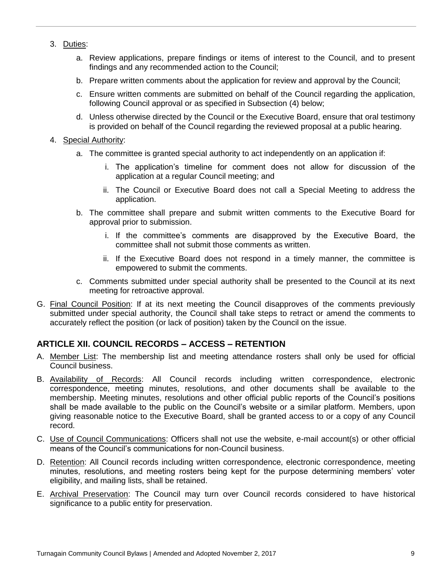- 3. Duties:
	- a. Review applications, prepare findings or items of interest to the Council, and to present findings and any recommended action to the Council;
	- b. Prepare written comments about the application for review and approval by the Council;
	- c. Ensure written comments are submitted on behalf of the Council regarding the application, following Council approval or as specified in Subsection (4) below;
	- d. Unless otherwise directed by the Council or the Executive Board, ensure that oral testimony is provided on behalf of the Council regarding the reviewed proposal at a public hearing.
- 4. Special Authority:
	- a. The committee is granted special authority to act independently on an application if:
		- i. The application's timeline for comment does not allow for discussion of the application at a regular Council meeting; and
		- ii. The Council or Executive Board does not call a Special Meeting to address the application.
	- b. The committee shall prepare and submit written comments to the Executive Board for approval prior to submission.
		- i. If the committee's comments are disapproved by the Executive Board, the committee shall not submit those comments as written.
		- ii. If the Executive Board does not respond in a timely manner, the committee is empowered to submit the comments.
	- c. Comments submitted under special authority shall be presented to the Council at its next meeting for retroactive approval.
- G. Final Council Position: If at its next meeting the Council disapproves of the comments previously submitted under special authority, the Council shall take steps to retract or amend the comments to accurately reflect the position (or lack of position) taken by the Council on the issue.

## **ARTICLE XII. COUNCIL RECORDS – ACCESS – RETENTION**

- A. Member List: The membership list and meeting attendance rosters shall only be used for official Council business.
- B. Availability of Records: All Council records including written correspondence, electronic correspondence, meeting minutes, resolutions, and other documents shall be available to the membership. Meeting minutes, resolutions and other official public reports of the Council's positions shall be made available to the public on the Council's website or a similar platform. Members, upon giving reasonable notice to the Executive Board, shall be granted access to or a copy of any Council record.
- C. Use of Council Communications: Officers shall not use the website, e-mail account(s) or other official means of the Council's communications for non-Council business.
- D. Retention: All Council records including written correspondence, electronic correspondence, meeting minutes, resolutions, and meeting rosters being kept for the purpose determining members' voter eligibility, and mailing lists, shall be retained.
- E. Archival Preservation: The Council may turn over Council records considered to have historical significance to a public entity for preservation.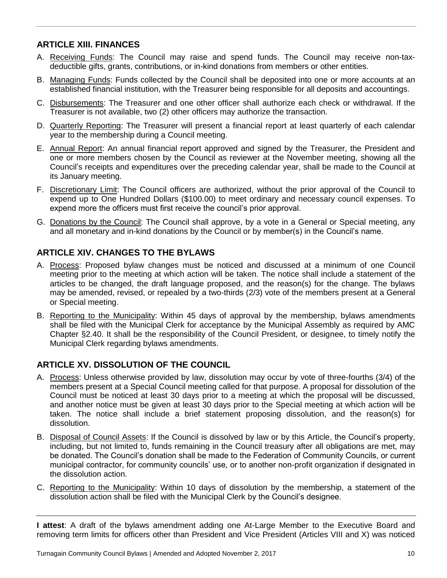# **ARTICLE XIII. FINANCES**

- A. Receiving Funds: The Council may raise and spend funds. The Council may receive non-taxdeductible gifts, grants, contributions, or in-kind donations from members or other entities.
- B. Managing Funds: Funds collected by the Council shall be deposited into one or more accounts at an established financial institution, with the Treasurer being responsible for all deposits and accountings.
- C. Disbursements: The Treasurer and one other officer shall authorize each check or withdrawal. If the Treasurer is not available, two (2) other officers may authorize the transaction.
- D. Quarterly Reporting: The Treasurer will present a financial report at least quarterly of each calendar year to the membership during a Council meeting.
- E. Annual Report: An annual financial report approved and signed by the Treasurer, the President and one or more members chosen by the Council as reviewer at the November meeting, showing all the Council's receipts and expenditures over the preceding calendar year, shall be made to the Council at its January meeting.
- F. Discretionary Limit: The Council officers are authorized, without the prior approval of the Council to expend up to One Hundred Dollars (\$100.00) to meet ordinary and necessary council expenses. To expend more the officers must first receive the council's prior approval.
- G. Donations by the Council: The Council shall approve, by a vote in a General or Special meeting, any and all monetary and in-kind donations by the Council or by member(s) in the Council's name.

# **ARTICLE XIV. CHANGES TO THE BYLAWS**

- A. Process: Proposed bylaw changes must be noticed and discussed at a minimum of one Council meeting prior to the meeting at which action will be taken. The notice shall include a statement of the articles to be changed, the draft language proposed, and the reason(s) for the change. The bylaws may be amended, revised, or repealed by a two-thirds (2/3) vote of the members present at a General or Special meeting.
- B. Reporting to the Municipality: Within 45 days of approval by the membership, bylaws amendments shall be filed with the Municipal Clerk for acceptance by the Municipal Assembly as required by AMC Chapter §2.40. It shall be the responsibility of the Council President, or designee, to timely notify the Municipal Clerk regarding bylaws amendments.

## **ARTICLE XV. DISSOLUTION OF THE COUNCIL**

- A. Process: Unless otherwise provided by law, dissolution may occur by vote of three-fourths (3/4) of the members present at a Special Council meeting called for that purpose. A proposal for dissolution of the Council must be noticed at least 30 days prior to a meeting at which the proposal will be discussed, and another notice must be given at least 30 days prior to the Special meeting at which action will be taken. The notice shall include a brief statement proposing dissolution, and the reason(s) for dissolution.
- B. Disposal of Council Assets: If the Council is dissolved by law or by this Article, the Council's property, including, but not limited to, funds remaining in the Council treasury after all obligations are met, may be donated. The Council's donation shall be made to the Federation of Community Councils, or current municipal contractor, for community councils' use, or to another non-profit organization if designated in the dissolution action.
- C. Reporting to the Municipality: Within 10 days of dissolution by the membership, a statement of the dissolution action shall be filed with the Municipal Clerk by the Council's designee.

**I attest**: A draft of the bylaws amendment adding one At-Large Member to the Executive Board and removing term limits for officers other than President and Vice President (Articles VIII and X) was noticed